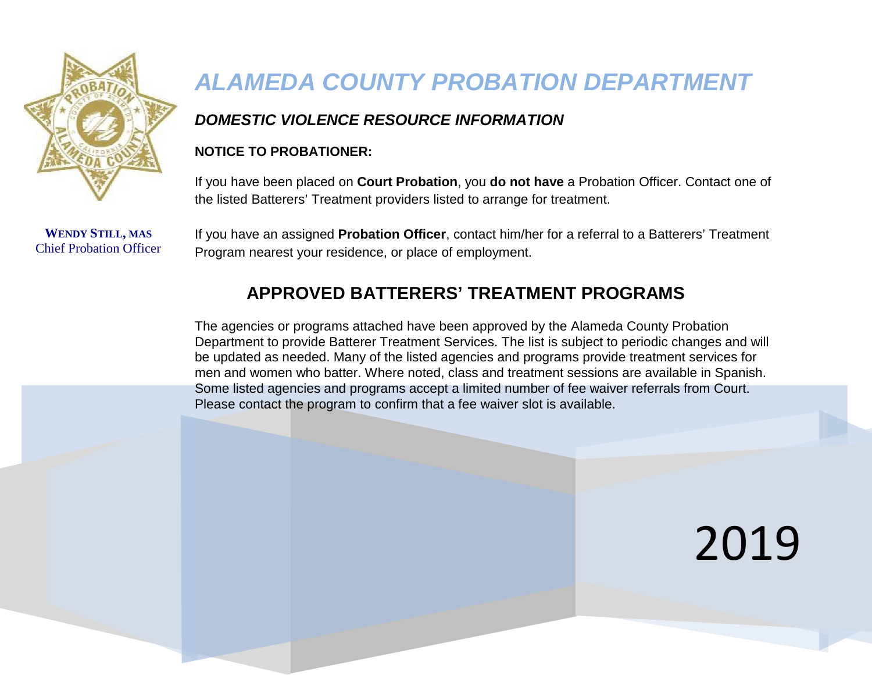

**WENDY STILL, MAS** Chief Probation Officer

## *ALAMEDA COUNTY PROBATION DEPARTMENT*

#### *DOMESTIC VIOLENCE RESOURCE INFORMATION*

#### **NOTICE TO PROBATIONER:**

If you have been placed on **Court Probation**, you **do not have** a Probation Officer. Contact one of the listed Batterers' Treatment providers listed to arrange for treatment.

If you have an assigned **Probation Officer**, contact him/her for a referral to a Batterers' Treatment Program nearest your residence, or place of employment.

### **APPROVED BATTERERS' TREATMENT PROGRAMS**

The agencies or programs attached have been approved by the Alameda County Probation Department to provide Batterer Treatment Services. The list is subject to periodic changes and will be updated as needed. Many of the listed agencies and programs provide treatment services for men and women who batter. Where noted, class and treatment sessions are available in Spanish. Some listed agencies and programs accept a limited number of fee waiver referrals from Court. Please contact the program to confirm that a fee waiver slot is available.

# 2019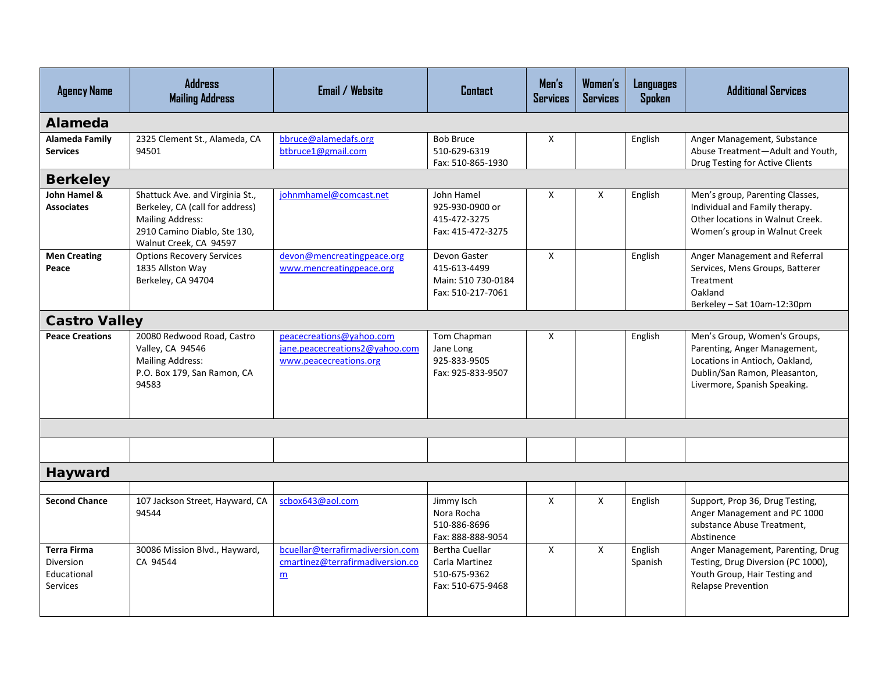| <b>Agency Name</b>                                                | <b>Address</b><br><b>Mailing Address</b>                                                                                                                | <b>Email / Website</b>                                                               | <b>Contact</b>                                                               | Men's<br><b>Services</b> | Women's<br><b>Services</b> | <b>Languages</b><br><b>Spoken</b> | <b>Additional Services</b>                                                                                                                                      |  |
|-------------------------------------------------------------------|---------------------------------------------------------------------------------------------------------------------------------------------------------|--------------------------------------------------------------------------------------|------------------------------------------------------------------------------|--------------------------|----------------------------|-----------------------------------|-----------------------------------------------------------------------------------------------------------------------------------------------------------------|--|
| Alameda                                                           |                                                                                                                                                         |                                                                                      |                                                                              |                          |                            |                                   |                                                                                                                                                                 |  |
| <b>Alameda Family</b><br><b>Services</b>                          | 2325 Clement St., Alameda, CA<br>94501                                                                                                                  | bbruce@alamedafs.org<br>btbruce1@gmail.com                                           | <b>Bob Bruce</b><br>510-629-6319<br>Fax: 510-865-1930                        | X                        |                            | English                           | Anger Management, Substance<br>Abuse Treatment-Adult and Youth,<br>Drug Testing for Active Clients                                                              |  |
| <b>Berkeley</b>                                                   |                                                                                                                                                         |                                                                                      |                                                                              |                          |                            |                                   |                                                                                                                                                                 |  |
| John Hamel &<br><b>Associates</b>                                 | Shattuck Ave. and Virginia St.,<br>Berkeley, CA (call for address)<br><b>Mailing Address:</b><br>2910 Camino Diablo, Ste 130,<br>Walnut Creek, CA 94597 | johnmhamel@comcast.net                                                               | John Hamel<br>925-930-0900 or<br>415-472-3275<br>Fax: 415-472-3275           | X                        | X                          | English                           | Men's group, Parenting Classes,<br>Individual and Family therapy.<br>Other locations in Walnut Creek.<br>Women's group in Walnut Creek                          |  |
| <b>Men Creating</b><br>Peace                                      | <b>Options Recovery Services</b><br>1835 Allston Way<br>Berkeley, CA 94704                                                                              | devon@mencreatingpeace.org<br>www.mencreatingpeace.org                               | Devon Gaster<br>415-613-4499<br>Main: 510 730-0184<br>Fax: 510-217-7061      | $\mathsf{x}$             |                            | English                           | Anger Management and Referral<br>Services, Mens Groups, Batterer<br>Treatment<br>Oakland<br>Berkeley - Sat 10am-12:30pm                                         |  |
| <b>Castro Valley</b>                                              |                                                                                                                                                         |                                                                                      |                                                                              |                          |                            |                                   |                                                                                                                                                                 |  |
| <b>Peace Creations</b>                                            | 20080 Redwood Road, Castro<br>Valley, CA 94546<br><b>Mailing Address:</b><br>P.O. Box 179, San Ramon, CA<br>94583                                       | peacecreations@yahoo.com<br>jane.peacecreations2@yahoo.com<br>www.peacecreations.org | Tom Chapman<br>Jane Long<br>925-833-9505<br>Fax: 925-833-9507                | X                        |                            | English                           | Men's Group, Women's Groups,<br>Parenting, Anger Management,<br>Locations in Antioch, Oakland,<br>Dublin/San Ramon, Pleasanton,<br>Livermore, Spanish Speaking. |  |
|                                                                   |                                                                                                                                                         |                                                                                      |                                                                              |                          |                            |                                   |                                                                                                                                                                 |  |
|                                                                   |                                                                                                                                                         |                                                                                      |                                                                              |                          |                            |                                   |                                                                                                                                                                 |  |
| <b>Hayward</b>                                                    |                                                                                                                                                         |                                                                                      |                                                                              |                          |                            |                                   |                                                                                                                                                                 |  |
|                                                                   |                                                                                                                                                         |                                                                                      |                                                                              |                          |                            |                                   |                                                                                                                                                                 |  |
| <b>Second Chance</b>                                              | 107 Jackson Street, Hayward, CA<br>94544                                                                                                                | scbox643@aol.com                                                                     | Jimmy Isch<br>Nora Rocha<br>510-886-8696<br>Fax: 888-888-9054                | $\mathsf{x}$             | $\mathsf{x}$               | English                           | Support, Prop 36, Drug Testing,<br>Anger Management and PC 1000<br>substance Abuse Treatment,<br>Abstinence                                                     |  |
| <b>Terra Firma</b><br>Diversion<br>Educational<br><b>Services</b> | 30086 Mission Blvd., Hayward,<br>CA 94544                                                                                                               | bcuellar@terrafirmadiversion.com<br>cmartinez@terrafirmadiversion.co<br>m            | <b>Bertha Cuellar</b><br>Carla Martinez<br>510-675-9362<br>Fax: 510-675-9468 | $\mathsf{X}$             | $\mathsf{x}$               | English<br>Spanish                | Anger Management, Parenting, Drug<br>Testing, Drug Diversion (PC 1000),<br>Youth Group, Hair Testing and<br><b>Relapse Prevention</b>                           |  |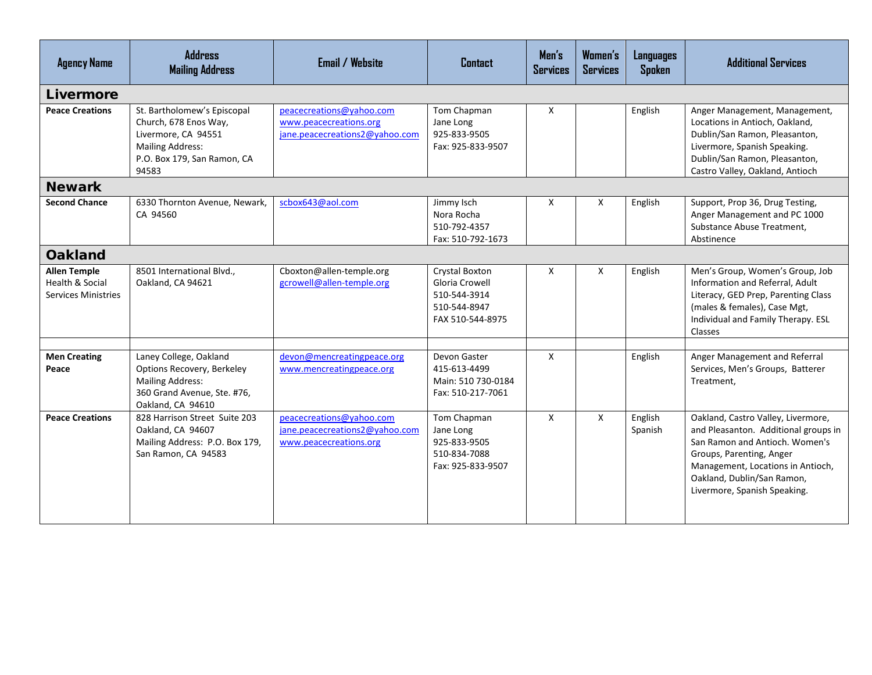| <b>Agency Name</b>                                                              | <b>Address</b><br><b>Mailing Address</b>                                                                                                       | <b>Email / Website</b>                                                               | <b>Contact</b>                                                                       | Men's<br><b>Services</b> | Women's<br><b>Services</b> | <b>Languages</b><br>Spoken | <b>Additional Services</b>                                                                                                                                                                                                                  |
|---------------------------------------------------------------------------------|------------------------------------------------------------------------------------------------------------------------------------------------|--------------------------------------------------------------------------------------|--------------------------------------------------------------------------------------|--------------------------|----------------------------|----------------------------|---------------------------------------------------------------------------------------------------------------------------------------------------------------------------------------------------------------------------------------------|
| Livermore                                                                       |                                                                                                                                                |                                                                                      |                                                                                      |                          |                            |                            |                                                                                                                                                                                                                                             |
| <b>Peace Creations</b>                                                          | St. Bartholomew's Episcopal<br>Church, 678 Enos Way,<br>Livermore, CA 94551<br><b>Mailing Address:</b><br>P.O. Box 179, San Ramon, CA<br>94583 | peacecreations@yahoo.com<br>www.peacecreations.org<br>jane.peacecreations2@yahoo.com | Tom Chapman<br>Jane Long<br>925-833-9505<br>Fax: 925-833-9507                        | X                        |                            | English                    | Anger Management, Management,<br>Locations in Antioch, Oakland,<br>Dublin/San Ramon, Pleasanton,<br>Livermore, Spanish Speaking.<br>Dublin/San Ramon, Pleasanton,<br>Castro Valley, Oakland, Antioch                                        |
| <b>Newark</b>                                                                   |                                                                                                                                                |                                                                                      |                                                                                      |                          |                            |                            |                                                                                                                                                                                                                                             |
| <b>Second Chance</b>                                                            | 6330 Thornton Avenue, Newark,<br>CA 94560                                                                                                      | scbox643@aol.com                                                                     | Jimmy Isch<br>Nora Rocha<br>510-792-4357<br>Fax: 510-792-1673                        | $\mathsf{X}$             | X                          | English                    | Support, Prop 36, Drug Testing,<br>Anger Management and PC 1000<br>Substance Abuse Treatment,<br>Abstinence                                                                                                                                 |
| <b>Oakland</b>                                                                  |                                                                                                                                                |                                                                                      |                                                                                      |                          |                            |                            |                                                                                                                                                                                                                                             |
| <b>Allen Temple</b><br><b>Health &amp; Social</b><br><b>Services Ministries</b> | 8501 International Blvd.,<br>Oakland, CA 94621                                                                                                 | Cboxton@allen-temple.org<br>gcrowell@allen-temple.org                                | Crystal Boxton<br>Gloria Crowell<br>510-544-3914<br>510-544-8947<br>FAX 510-544-8975 | $\mathsf{x}$             | X                          | English                    | Men's Group, Women's Group, Job<br>Information and Referral, Adult<br>Literacy, GED Prep, Parenting Class<br>(males & females), Case Mgt,<br>Individual and Family Therapy. ESL<br>Classes                                                  |
|                                                                                 |                                                                                                                                                |                                                                                      |                                                                                      |                          |                            |                            |                                                                                                                                                                                                                                             |
| <b>Men Creating</b><br>Peace                                                    | Laney College, Oakland<br>Options Recovery, Berkeley<br><b>Mailing Address:</b><br>360 Grand Avenue, Ste. #76,<br>Oakland, CA 94610            | devon@mencreatingpeace.org<br>www.mencreatingpeace.org                               | Devon Gaster<br>415-613-4499<br>Main: 510 730-0184<br>Fax: 510-217-7061              | $\mathsf{X}$             |                            | English                    | Anger Management and Referral<br>Services, Men's Groups, Batterer<br>Treatment,                                                                                                                                                             |
| <b>Peace Creations</b>                                                          | 828 Harrison Street Suite 203<br>Oakland, CA 94607<br>Mailing Address: P.O. Box 179,<br>San Ramon, CA 94583                                    | peacecreations@yahoo.com<br>jane.peacecreations2@yahoo.com<br>www.peacecreations.org | Tom Chapman<br>Jane Long<br>925-833-9505<br>510-834-7088<br>Fax: 925-833-9507        | $\mathsf{X}$             | X                          | English<br>Spanish         | Oakland, Castro Valley, Livermore,<br>and Pleasanton. Additional groups in<br>San Ramon and Antioch. Women's<br>Groups, Parenting, Anger<br>Management, Locations in Antioch,<br>Oakland, Dublin/San Ramon,<br>Livermore, Spanish Speaking. |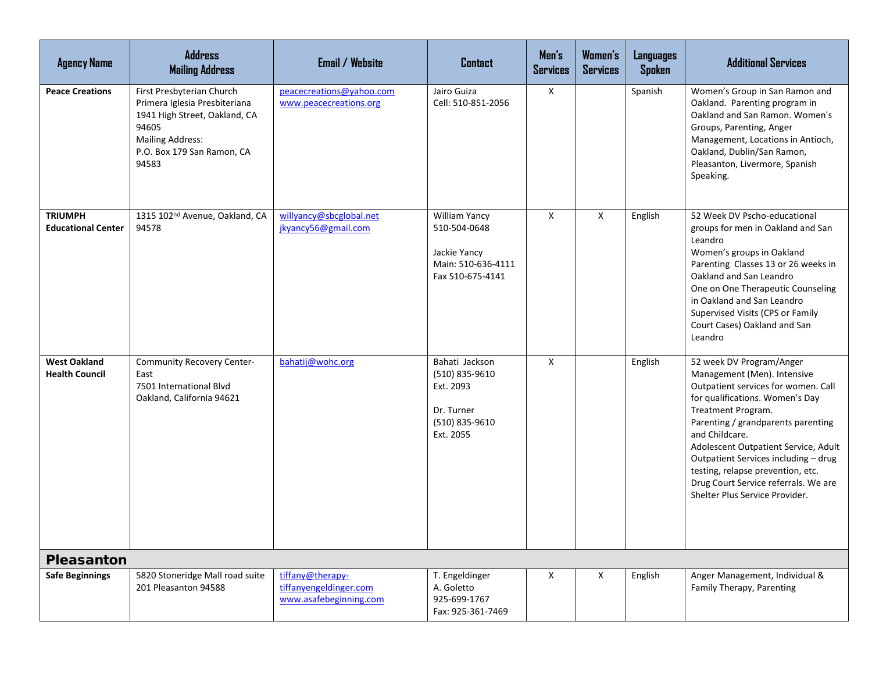| <b>Agency Name</b>                           | <b>Address</b><br><b>Mailing Address</b>                                                                                                                               | <b>Email / Website</b>                                               | <b>Contact</b>                                                                             | Men's<br><b>Services</b> | Women's<br><b>Services</b> | <b>Languages</b><br>Spoken | <b>Additional Services</b>                                                                                                                                                                                                                                                                                                                                                                                     |
|----------------------------------------------|------------------------------------------------------------------------------------------------------------------------------------------------------------------------|----------------------------------------------------------------------|--------------------------------------------------------------------------------------------|--------------------------|----------------------------|----------------------------|----------------------------------------------------------------------------------------------------------------------------------------------------------------------------------------------------------------------------------------------------------------------------------------------------------------------------------------------------------------------------------------------------------------|
| <b>Peace Creations</b>                       | First Presbyterian Church<br>Primera Iglesia Presbiteriana<br>1941 High Street, Oakland, CA<br>94605<br><b>Mailing Address:</b><br>P.O. Box 179 San Ramon, CA<br>94583 | peacecreations@yahoo.com<br>www.peacecreations.org                   | Jairo Guiza<br>Cell: 510-851-2056                                                          | $\mathsf{X}$             |                            | Spanish                    | Women's Group in San Ramon and<br>Oakland. Parenting program in<br>Oakland and San Ramon. Women's<br>Groups, Parenting, Anger<br>Management, Locations in Antioch,<br>Oakland, Dublin/San Ramon,<br>Pleasanton, Livermore, Spanish<br>Speaking.                                                                                                                                                                |
| <b>TRIUMPH</b><br><b>Educational Center</b>  | 1315 102 <sup>nd</sup> Avenue, Oakland, CA<br>94578                                                                                                                    | willyancy@sbcglobal.net<br>jkyancy56@gmail.com                       | William Yancy<br>510-504-0648<br>Jackie Yancy<br>Main: 510-636-4111<br>Fax 510-675-4141    | $\mathsf{X}$             | $\mathsf{X}$               | English                    | 52 Week DV Pscho-educational<br>groups for men in Oakland and San<br>Leandro<br>Women's groups in Oakland<br>Parenting Classes 13 or 26 weeks in<br>Oakland and San Leandro<br>One on One Therapeutic Counseling<br>in Oakland and San Leandro<br>Supervised Visits (CPS or Family<br>Court Cases) Oakland and San<br>Leandro                                                                                  |
| <b>West Oakland</b><br><b>Health Council</b> | <b>Community Recovery Center-</b><br>East<br>7501 International Blvd<br>Oakland, California 94621                                                                      | bahatij@wohc.org                                                     | Bahati Jackson<br>(510) 835-9610<br>Ext. 2093<br>Dr. Turner<br>(510) 835-9610<br>Ext. 2055 | X                        |                            | English                    | 52 week DV Program/Anger<br>Management (Men). Intensive<br>Outpatient services for women. Call<br>for qualifications. Women's Day<br>Treatment Program.<br>Parenting / grandparents parenting<br>and Childcare.<br>Adolescent Outpatient Service, Adult<br>Outpatient Services including - drug<br>testing, relapse prevention, etc.<br>Drug Court Service referrals. We are<br>Shelter Plus Service Provider. |
| <b>Pleasanton</b>                            |                                                                                                                                                                        |                                                                      |                                                                                            |                          |                            |                            |                                                                                                                                                                                                                                                                                                                                                                                                                |
| <b>Safe Beginnings</b>                       | 5820 Stoneridge Mall road suite<br>201 Pleasanton 94588                                                                                                                | tiffany@therapy-<br>tiffanyengeldinger.com<br>www.asafebeginning.com | T. Engeldinger<br>A. Goletto<br>925-699-1767<br>Fax: 925-361-7469                          | X                        | X                          | English                    | Anger Management, Individual &<br>Family Therapy, Parenting                                                                                                                                                                                                                                                                                                                                                    |